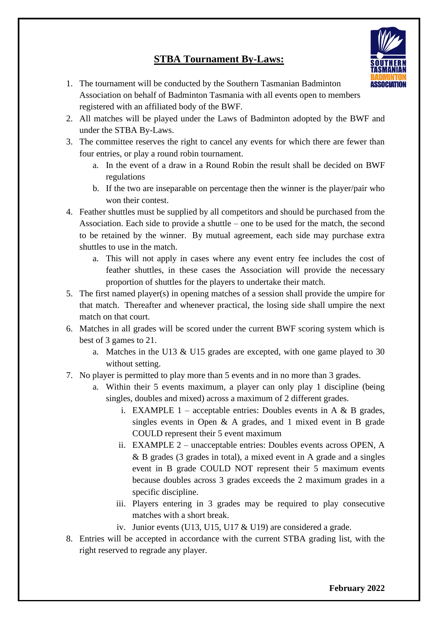## **STBA Tournament By-Laws:**

- 1. The tournament will be conducted by the Southern Tasmanian Badminton Association on behalf of Badminton Tasmania with all events open to members registered with an affiliated body of the BWF.
- 2. All matches will be played under the Laws of Badminton adopted by the BWF and under the STBA By-Laws.
- 3. The committee reserves the right to cancel any events for which there are fewer than four entries, or play a round robin tournament.
	- a. In the event of a draw in a Round Robin the result shall be decided on BWF regulations
	- b. If the two are inseparable on percentage then the winner is the player/pair who won their contest.
- 4. Feather shuttles must be supplied by all competitors and should be purchased from the Association. Each side to provide a shuttle – one to be used for the match, the second to be retained by the winner. By mutual agreement, each side may purchase extra shuttles to use in the match.
	- a. This will not apply in cases where any event entry fee includes the cost of feather shuttles, in these cases the Association will provide the necessary proportion of shuttles for the players to undertake their match.
- 5. The first named player(s) in opening matches of a session shall provide the umpire for that match. Thereafter and whenever practical, the losing side shall umpire the next match on that court.
- 6. Matches in all grades will be scored under the current BWF scoring system which is best of 3 games to 21.
	- a. Matches in the U13 & U15 grades are excepted, with one game played to 30 without setting.
- 7. No player is permitted to play more than 5 events and in no more than 3 grades.
	- a. Within their 5 events maximum, a player can only play 1 discipline (being singles, doubles and mixed) across a maximum of 2 different grades.
		- i. EXAMPLE  $1$  acceptable entries: Doubles events in A & B grades, singles events in Open & A grades, and 1 mixed event in B grade COULD represent their 5 event maximum
		- ii. EXAMPLE 2 unacceptable entries: Doubles events across OPEN, A & B grades (3 grades in total), a mixed event in A grade and a singles event in B grade COULD NOT represent their 5 maximum events because doubles across 3 grades exceeds the 2 maximum grades in a specific discipline.
		- iii. Players entering in 3 grades may be required to play consecutive matches with a short break.
		- iv. Junior events (U13, U15, U17 & U19) are considered a grade.
- 8. Entries will be accepted in accordance with the current STBA grading list, with the right reserved to regrade any player.



**ASSOCIATION**